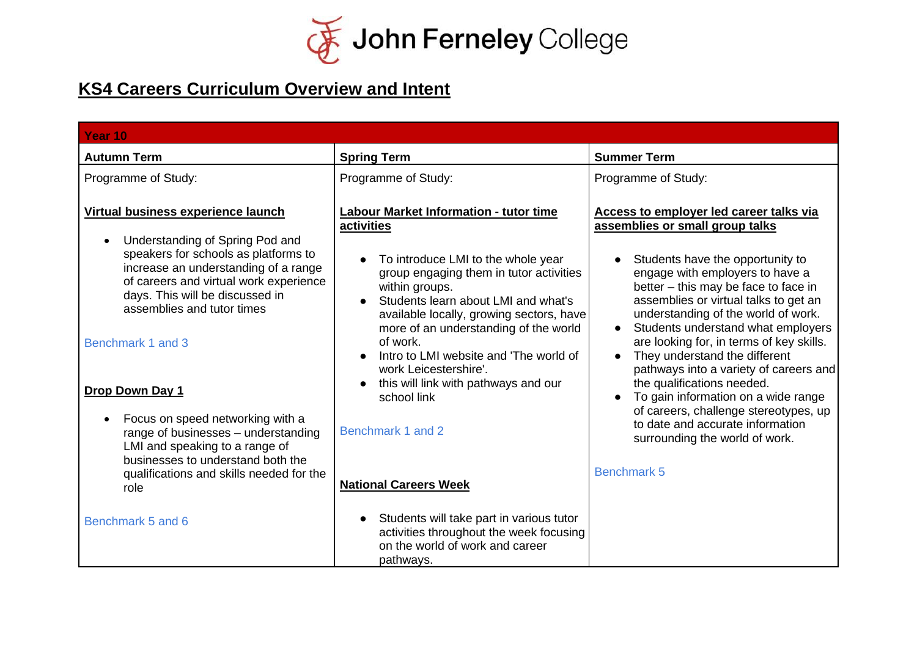

## **KS4 Careers Curriculum Overview and Intent**

| Year 10                                                                                                                                                                                                                                                                                                                                                                                                                                                                                                        |                                                                                                                                                                                                                                                                                                                                                                                                                                                                                       |                                                                                                                                                                                                                                                                                                                                                                                                                                                                                                                                                                                                                                                  |
|----------------------------------------------------------------------------------------------------------------------------------------------------------------------------------------------------------------------------------------------------------------------------------------------------------------------------------------------------------------------------------------------------------------------------------------------------------------------------------------------------------------|---------------------------------------------------------------------------------------------------------------------------------------------------------------------------------------------------------------------------------------------------------------------------------------------------------------------------------------------------------------------------------------------------------------------------------------------------------------------------------------|--------------------------------------------------------------------------------------------------------------------------------------------------------------------------------------------------------------------------------------------------------------------------------------------------------------------------------------------------------------------------------------------------------------------------------------------------------------------------------------------------------------------------------------------------------------------------------------------------------------------------------------------------|
| <b>Autumn Term</b>                                                                                                                                                                                                                                                                                                                                                                                                                                                                                             | <b>Spring Term</b>                                                                                                                                                                                                                                                                                                                                                                                                                                                                    | <b>Summer Term</b>                                                                                                                                                                                                                                                                                                                                                                                                                                                                                                                                                                                                                               |
| Programme of Study:                                                                                                                                                                                                                                                                                                                                                                                                                                                                                            | Programme of Study:                                                                                                                                                                                                                                                                                                                                                                                                                                                                   | Programme of Study:                                                                                                                                                                                                                                                                                                                                                                                                                                                                                                                                                                                                                              |
| Virtual business experience launch<br>Understanding of Spring Pod and<br>speakers for schools as platforms to<br>increase an understanding of a range<br>of careers and virtual work experience<br>days. This will be discussed in<br>assemblies and tutor times<br>Benchmark 1 and 3<br>Drop Down Day 1<br>Focus on speed networking with a<br>range of businesses - understanding<br>LMI and speaking to a range of<br>businesses to understand both the<br>qualifications and skills needed for the<br>role | <b>Labour Market Information - tutor time</b><br>activities<br>To introduce LMI to the whole year<br>group engaging them in tutor activities<br>within groups.<br>Students learn about LMI and what's<br>available locally, growing sectors, have<br>more of an understanding of the world<br>of work.<br>Intro to LMI website and 'The world of<br>work Leicestershire'.<br>this will link with pathways and our<br>school link<br>Benchmark 1 and 2<br><b>National Careers Week</b> | Access to employer led career talks via<br>assemblies or small group talks<br>Students have the opportunity to<br>engage with employers to have a<br>better - this may be face to face in<br>assemblies or virtual talks to get an<br>understanding of the world of work.<br>Students understand what employers<br>are looking for, in terms of key skills.<br>They understand the different<br>pathways into a variety of careers and<br>the qualifications needed.<br>To gain information on a wide range<br>of careers, challenge stereotypes, up<br>to date and accurate information<br>surrounding the world of work.<br><b>Benchmark 5</b> |
| Benchmark 5 and 6                                                                                                                                                                                                                                                                                                                                                                                                                                                                                              | Students will take part in various tutor<br>activities throughout the week focusing<br>on the world of work and career<br>pathways.                                                                                                                                                                                                                                                                                                                                                   |                                                                                                                                                                                                                                                                                                                                                                                                                                                                                                                                                                                                                                                  |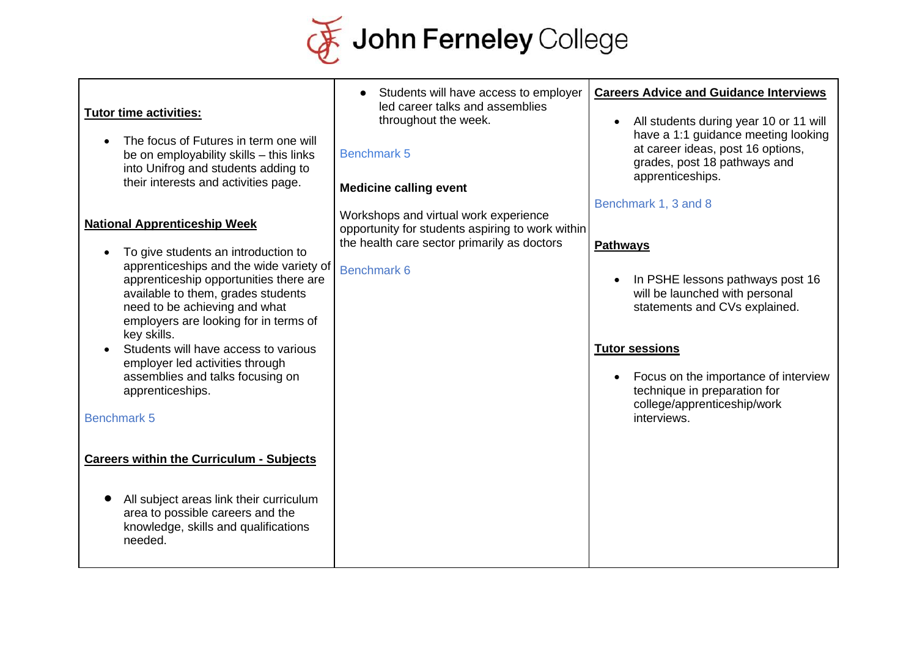

| <b>Tutor time activities:</b><br>The focus of Futures in term one will<br>be on employability skills - this links<br>into Unifrog and students adding to<br>their interests and activities page.                                                                                | Students will have access to employer<br>led career talks and assemblies<br>throughout the week.<br><b>Benchmark 5</b><br><b>Medicine calling event</b><br>Workshops and virtual work experience | <b>Careers Advice and Guidance Interviews</b><br>All students during year 10 or 11 will<br>$\bullet$<br>have a 1:1 guidance meeting looking<br>at career ideas, post 16 options,<br>grades, post 18 pathways and<br>apprenticeships.<br>Benchmark 1, 3 and 8 |
|---------------------------------------------------------------------------------------------------------------------------------------------------------------------------------------------------------------------------------------------------------------------------------|--------------------------------------------------------------------------------------------------------------------------------------------------------------------------------------------------|--------------------------------------------------------------------------------------------------------------------------------------------------------------------------------------------------------------------------------------------------------------|
| <b>National Apprenticeship Week</b><br>To give students an introduction to<br>apprenticeships and the wide variety of<br>apprenticeship opportunities there are<br>available to them, grades students<br>need to be achieving and what<br>employers are looking for in terms of | opportunity for students aspiring to work within<br>the health care sector primarily as doctors<br>Benchmark 6                                                                                   | <b>Pathways</b><br>In PSHE lessons pathways post 16<br>$\bullet$<br>will be launched with personal<br>statements and CVs explained.                                                                                                                          |
| key skills.<br>Students will have access to various<br>employer led activities through<br>assemblies and talks focusing on<br>apprenticeships.<br><b>Benchmark 5</b>                                                                                                            |                                                                                                                                                                                                  | <b>Tutor sessions</b><br>Focus on the importance of interview<br>technique in preparation for<br>college/apprenticeship/work<br>interviews.                                                                                                                  |
| <b>Careers within the Curriculum - Subjects</b><br>All subject areas link their curriculum<br>area to possible careers and the<br>knowledge, skills and qualifications<br>needed.                                                                                               |                                                                                                                                                                                                  |                                                                                                                                                                                                                                                              |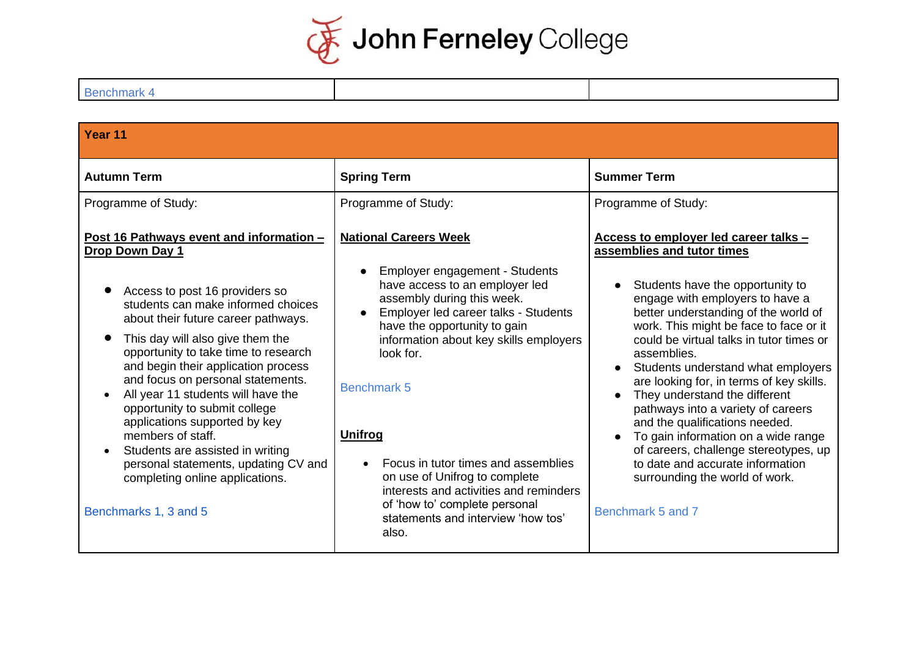

|  | <b>Benchmark 4</b> |  |
|--|--------------------|--|
|  |                    |  |

| Year 11                                                                                                                                                                                                                                                                                                                                                                                                                                                                                                                                                                                                        |                                                                                                                                                                                                                                                                                                                                                                                                                                                                                                         |                                                                                                                                                                                                                                                                                                                                                                                                                                                                                                                                                                                                                                                               |
|----------------------------------------------------------------------------------------------------------------------------------------------------------------------------------------------------------------------------------------------------------------------------------------------------------------------------------------------------------------------------------------------------------------------------------------------------------------------------------------------------------------------------------------------------------------------------------------------------------------|---------------------------------------------------------------------------------------------------------------------------------------------------------------------------------------------------------------------------------------------------------------------------------------------------------------------------------------------------------------------------------------------------------------------------------------------------------------------------------------------------------|---------------------------------------------------------------------------------------------------------------------------------------------------------------------------------------------------------------------------------------------------------------------------------------------------------------------------------------------------------------------------------------------------------------------------------------------------------------------------------------------------------------------------------------------------------------------------------------------------------------------------------------------------------------|
| <b>Autumn Term</b>                                                                                                                                                                                                                                                                                                                                                                                                                                                                                                                                                                                             | <b>Spring Term</b>                                                                                                                                                                                                                                                                                                                                                                                                                                                                                      | <b>Summer Term</b>                                                                                                                                                                                                                                                                                                                                                                                                                                                                                                                                                                                                                                            |
| Programme of Study:                                                                                                                                                                                                                                                                                                                                                                                                                                                                                                                                                                                            | Programme of Study:                                                                                                                                                                                                                                                                                                                                                                                                                                                                                     | Programme of Study:                                                                                                                                                                                                                                                                                                                                                                                                                                                                                                                                                                                                                                           |
| Post 16 Pathways event and information -<br><b>Drop Down Day 1</b><br>Access to post 16 providers so<br>students can make informed choices<br>about their future career pathways.<br>This day will also give them the<br>opportunity to take time to research<br>and begin their application process<br>and focus on personal statements.<br>All year 11 students will have the<br>opportunity to submit college<br>applications supported by key<br>members of staff.<br>Students are assisted in writing<br>personal statements, updating CV and<br>completing online applications.<br>Benchmarks 1, 3 and 5 | <b>National Careers Week</b><br>Employer engagement - Students<br>have access to an employer led<br>assembly during this week.<br>Employer led career talks - Students<br>have the opportunity to gain<br>information about key skills employers<br>look for.<br><b>Benchmark 5</b><br><b>Unifrog</b><br>Focus in tutor times and assemblies<br>on use of Unifrog to complete<br>interests and activities and reminders<br>of 'how to' complete personal<br>statements and interview 'how tos'<br>also. | Access to employer led career talks -<br>assemblies and tutor times<br>Students have the opportunity to<br>engage with employers to have a<br>better understanding of the world of<br>work. This might be face to face or it<br>could be virtual talks in tutor times or<br>assemblies.<br>Students understand what employers<br>are looking for, in terms of key skills.<br>They understand the different<br>pathways into a variety of careers<br>and the qualifications needed.<br>To gain information on a wide range<br>of careers, challenge stereotypes, up<br>to date and accurate information<br>surrounding the world of work.<br>Benchmark 5 and 7 |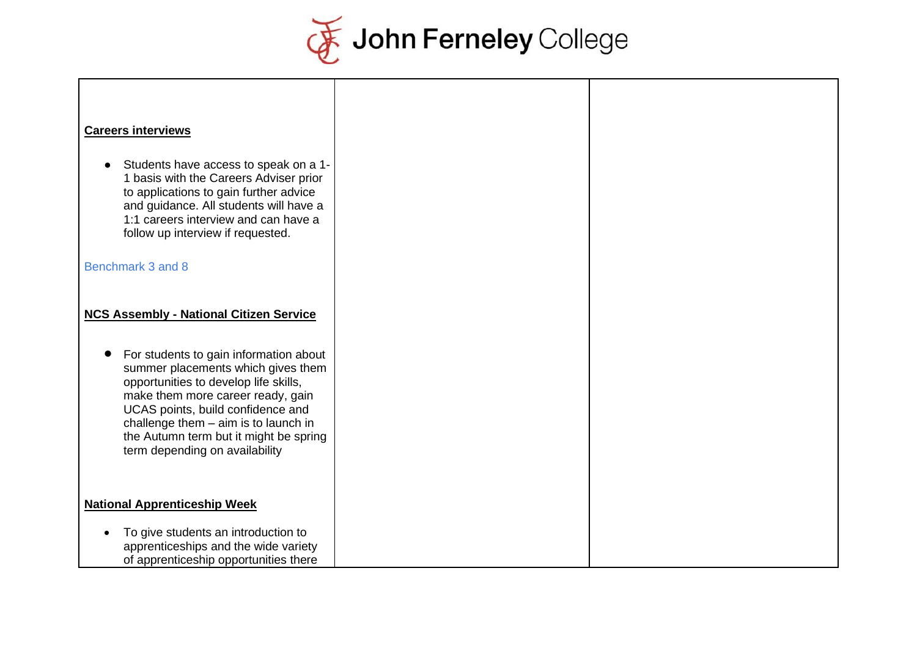

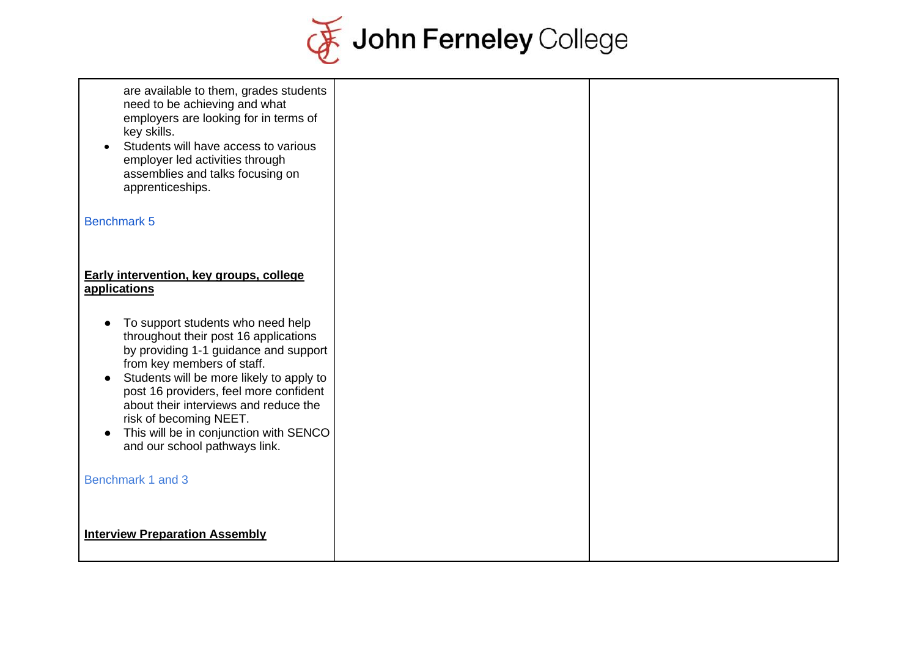

| are available to them, grades students<br>need to be achieving and what<br>employers are looking for in terms of<br>key skills.<br>Students will have access to various<br>employer led activities through<br>assemblies and talks focusing on<br>apprenticeships.                                                                                                                                 |  |
|----------------------------------------------------------------------------------------------------------------------------------------------------------------------------------------------------------------------------------------------------------------------------------------------------------------------------------------------------------------------------------------------------|--|
| <b>Benchmark 5</b>                                                                                                                                                                                                                                                                                                                                                                                 |  |
|                                                                                                                                                                                                                                                                                                                                                                                                    |  |
| Early intervention, key groups, college                                                                                                                                                                                                                                                                                                                                                            |  |
| applications                                                                                                                                                                                                                                                                                                                                                                                       |  |
| To support students who need help<br>throughout their post 16 applications<br>by providing 1-1 guidance and support<br>from key members of staff.<br>Students will be more likely to apply to<br>post 16 providers, feel more confident<br>about their interviews and reduce the<br>risk of becoming NEET.<br>This will be in conjunction with SENCO<br>$\bullet$<br>and our school pathways link. |  |
| Benchmark 1 and 3                                                                                                                                                                                                                                                                                                                                                                                  |  |
| <b>Interview Preparation Assembly</b>                                                                                                                                                                                                                                                                                                                                                              |  |